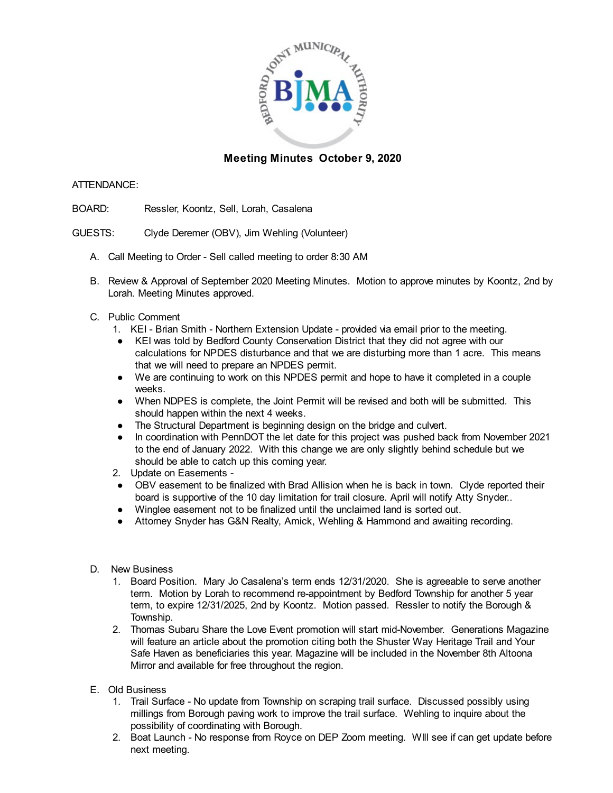

## **Meeting Minutes October 9, 2020**

## ATTENDANCE:

- BOARD: Ressler, Koontz, Sell, Lorah, Casalena
- GUESTS: Clyde Deremer (OBV), Jim Wehling (Volunteer)
	- A. Call Meeting to Order Sell called meeting to order 8:30 AM
	- B. Review & Approval of September 2020 Meeting Minutes. Motion to approve minutes by Koontz, 2nd by Lorah. Meeting Minutes approved.
	- C. Public Comment
		- 1. KEI Brian Smith Northern Extension Update provided via email prior to the meeting.
		- KEI was told by Bedford County Conservation District that they did not agree with our calculations for NPDES disturbance and that we are disturbing more than 1 acre. This means that we will need to prepare an NPDES permit.
		- We are continuing to work on this NPDES permit and hope to have it completed in a couple weeks.
		- When NDPES is complete, the Joint Permit will be revised and both will be submitted. This should happen within the next 4 weeks.
		- The Structural Department is beginning design on the bridge and culvert.
		- In coordination with PennDOT the let date for this project was pushed back from November 2021 to the end of January 2022. With this change we are only slightly behind schedule but we should be able to catch up this coming year.
		- 2. Update on Easements -
		- OBV easement to be finalized with Brad Allision when he is back in town. Clyde reported their board is supportive of the 10 day limitation for trail closure. April will notify Atty Snyder..
		- Winglee easement not to be finalized until the unclaimed land is sorted out.
		- Attorney Snyder has G&N Realty, Amick, Wehling & Hammond and awaiting recording.
	- D. New Business
		- 1. Board Position. Mary Jo Casalena's term ends 12/31/2020. She is agreeable to serve another term. Motion by Lorah to recommend re-appointment by Bedford Township for another 5 year term, to expire 12/31/2025, 2nd by Koontz. Motion passed. Ressler to notify the Borough & Township.
		- 2. Thomas Subaru Share the Love Event promotion will start mid-November. Generations Magazine will feature an article about the promotion citing both the Shuster Way Heritage Trail and Your Safe Haven as beneficiaries this year. Magazine will be included in the November 8th Altoona Mirror and available for free throughout the region.
	- E. Old Business
		- 1. Trail Surface No update from Township on scraping trail surface. Discussed possibly using millings from Borough paving work to improve the trail surface. Wehling to inquire about the possibility of coordinating with Borough.
		- 2. Boat Launch No response from Royce on DEP Zoom meeting. WIll see if can get update before next meeting.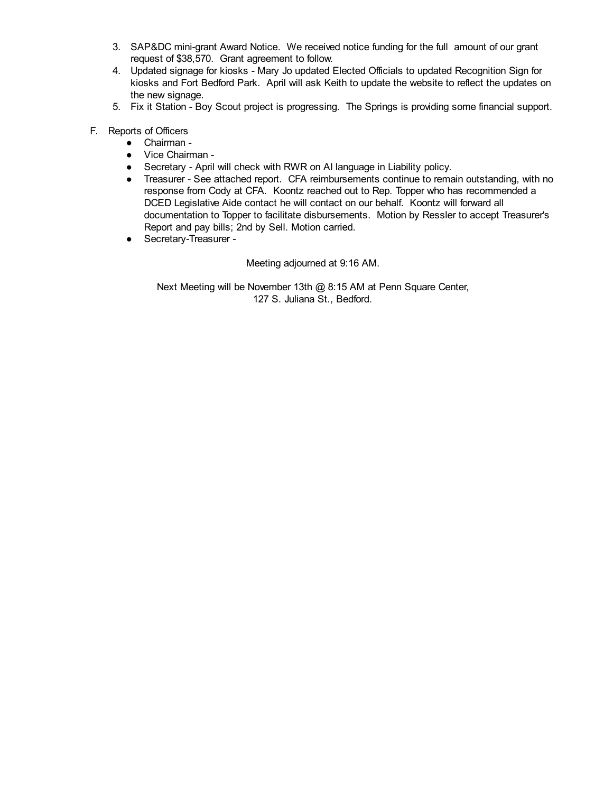- 3. SAP&DC mini-grant Award Notice. We received notice funding for the full amount of our grant request of \$38,570. Grant agreement to follow.
- 4. Updated signage for kiosks Mary Jo updated Elected Officials to updated Recognition Sign for kiosks and Fort Bedford Park. April will ask Keith to update the website to reflect the updates on the new signage.
- 5. Fix it Station Boy Scout project is progressing. The Springs is providing some financial support.
- F. Reports of Officers
	- Chairman -
	- Vice Chairman -
	- Secretary April will check with RWR on AI language in Liability policy.
	- Treasurer See attached report. CFA reimbursements continue to remain outstanding, with no response from Cody at CFA. Koontz reached out to Rep. Topper who has recommended a DCED Legislative Aide contact he will contact on our behalf. Koontz will forward all documentation to Topper to facilitate disbursements. Motion by Ressler to accept Treasurer's Report and pay bills; 2nd by Sell. Motion carried.
	- Secretary-Treasurer -

Meeting adjourned at 9:16 AM.

Next Meeting will be November 13th @ 8:15 AM at Penn Square Center, 127 S. Juliana St., Bedford.